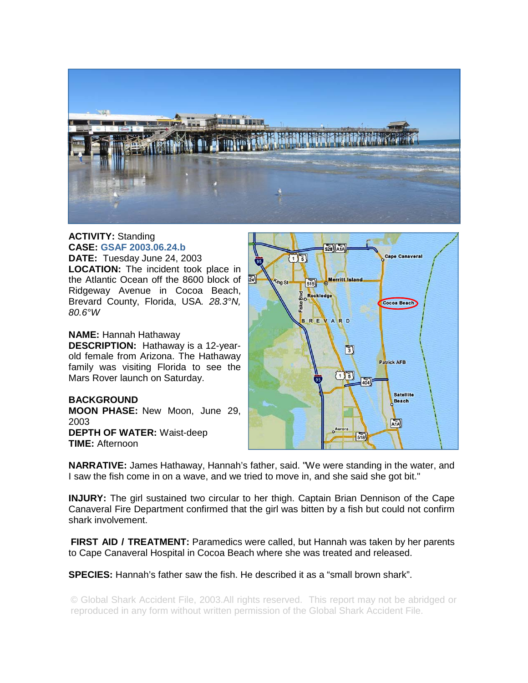

## **ACTIVITY:** Standing **CASE: GSAF 2003.06.24.b**

**DATE:** Tuesday June 24, 2003 **LOCATION:** The incident took place in the Atlantic Ocean off the 8600 block of Ridgeway Avenue in Cocoa Beach, Brevard County, Florida, USA*. 28.3°N, 80.6°W* 

## **NAME:** Hannah Hathaway

**DESCRIPTION:** Hathaway is a 12-yearold female from Arizona. The Hathaway family was visiting Florida to see the Mars Rover launch on Saturday.

## **BACKGROUND**

**MOON PHASE:** New Moon, June 29, 2003 **DEPTH OF WATER:** Waist-deep **TIME:** Afternoon



**NARRATIVE:** James Hathaway, Hannah's father, said. "We were standing in the water, and I saw the fish come in on a wave, and we tried to move in, and she said she got bit."

**INJURY:** The girl sustained two circular to her thigh. Captain Brian Dennison of the Cape Canaveral Fire Department confirmed that the girl was bitten by a fish but could not confirm shark involvement.

**FIRST AID / TREATMENT:** Paramedics were called, but Hannah was taken by her parents to Cape Canaveral Hospital in Cocoa Beach where she was treated and released.

**SPECIES:** Hannah's father saw the fish. He described it as a "small brown shark".

© Global Shark Accident File, 2003.All rights reserved. This report may not be abridged or reproduced in any form without written permission of the Global Shark Accident File.